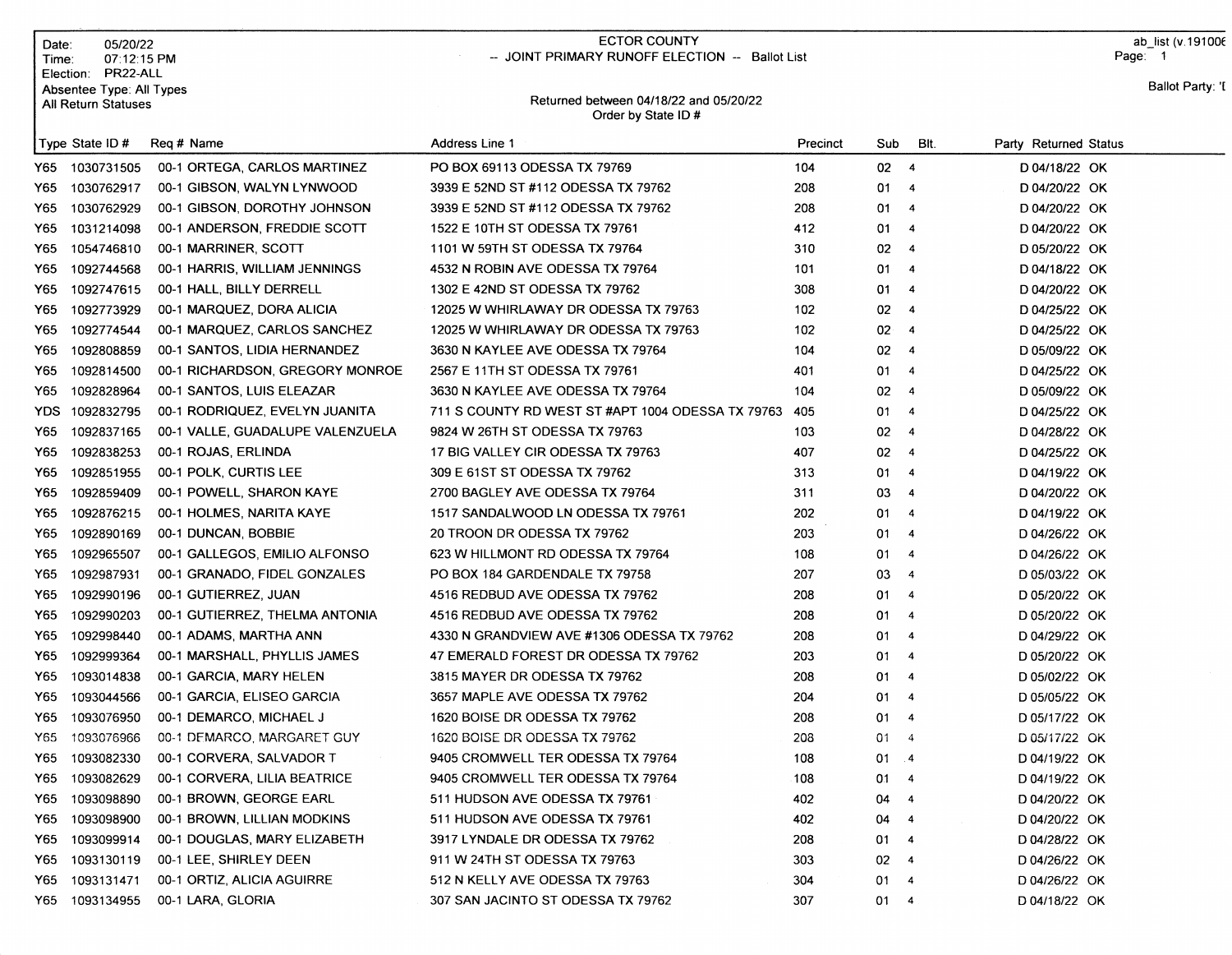| Date:<br>Time: | 05/20/22<br>07:12:15 PM<br>Election: PR22-ALL          |                                  | <b>ECTOR COUNTY</b><br>-- JOINT PRIMARY RUNOFF ELECTION -- Ballot List |          |                 |                |                       | ab list (v. 19100 $6$<br>Page: 1 |
|----------------|--------------------------------------------------------|----------------------------------|------------------------------------------------------------------------|----------|-----------------|----------------|-----------------------|----------------------------------|
|                | Absentee Type: All Types<br><b>All Return Statuses</b> |                                  | Returned between 04/18/22 and 05/20/22<br>Order by State ID#           |          |                 |                |                       | Ballot Party: 'I                 |
|                | Type State ID $#$                                      | Reg # Name                       | Address Line 1                                                         | Precinct | Sub             | BIt.           | Party Returned Status |                                  |
| Y65 I          | 1030731505                                             | 00-1 ORTEGA, CARLOS MARTINEZ     | PO BOX 69113 ODESSA TX 79769                                           | 104      | $02 \quad 4$    |                | D 04/18/22 OK         |                                  |
| Y65            | 1030762917                                             | 00-1 GIBSON, WALYN LYNWOOD       | 3939 E 52ND ST #112 ODESSA TX 79762                                    | 208      | 01              | 4              | D 04/20/22 OK         |                                  |
| Y65            | 1030762929                                             | 00-1 GIBSON, DOROTHY JOHNSON     | 3939 E 52ND ST #112 ODESSA TX 79762                                    | 208      | 01              | $\overline{4}$ | D 04/20/22 OK         |                                  |
| Y65            | 1031214098                                             | 00-1 ANDERSON, FREDDIE SCOTT     | 1522 E 10TH ST ODESSA TX 79761                                         | 412      | 01              | $\overline{4}$ | D 04/20/22 OK         |                                  |
| Y65            | 1054746810                                             | 00-1 MARRINER, SCOTT             | 1101 W 59TH ST ODESSA TX 79764                                         | 310      | 02              | $\overline{4}$ | D 05/20/22 OK         |                                  |
| Y65            | 1092744568                                             | 00-1 HARRIS, WILLIAM JENNINGS    | 4532 N ROBIN AVE ODESSA TX 79764                                       | 101      | 01.             | $\overline{4}$ | D 04/18/22 OK         |                                  |
| Y65            | 1092747615                                             | 00-1 HALL, BILLY DERRELL         | 1302 E 42ND ST ODESSA TX 79762                                         | 308      | 01              | $\overline{4}$ | D 04/20/22 OK         |                                  |
| Y65            | 1092773929                                             | 00-1 MARQUEZ, DORA ALICIA        | 12025 W WHIRLAWAY DR ODESSA TX 79763                                   | 102      | 02              | $\overline{4}$ | D 04/25/22 OK         |                                  |
| Y65            | 1092774544                                             | 00-1 MARQUEZ, CARLOS SANCHEZ     | 12025 W WHIRLAWAY DR ODESSA TX 79763                                   | 102      | $02 - 4$        |                | D 04/25/22 OK         |                                  |
| Y65            | 1092808859                                             | 00-1 SANTOS, LIDIA HERNANDEZ     | 3630 N KAYLEE AVE ODESSA TX 79764                                      | 104      | 02 <sub>4</sub> |                | D 05/09/22 OK         |                                  |
| Y65            | 1092814500                                             | 00-1 RICHARDSON, GREGORY MONROE  | 2567 E 11TH ST ODESSA TX 79761                                         | 401      | 01              | $\overline{4}$ | D 04/25/22 OK         |                                  |
| Y65            | 1092828964                                             | 00-1 SANTOS, LUIS ELEAZAR        | 3630 N KAYLEE AVE ODESSA TX 79764                                      | 104      | 02              | $\overline{4}$ | D 05/09/22 OK         |                                  |
| YDS.           | 1092832795                                             | 00-1 RODRIQUEZ, EVELYN JUANITA   | 711 S COUNTY RD WEST ST #APT 1004 ODESSA TX 79763                      | 405      | 01              | $\overline{4}$ | D 04/25/22 OK         |                                  |
| Y65            | 1092837165                                             | 00-1 VALLE, GUADALUPE VALENZUELA | 9824 W 26TH ST ODESSA TX 79763                                         | 103      | 02              | $\overline{4}$ | D 04/28/22 OK         |                                  |
| Y65            | 1092838253                                             | 00-1 ROJAS, ERLINDA              | 17 BIG VALLEY CIR ODESSA TX 79763                                      | 407      | $02 \quad 4$    |                | D 04/25/22 OK         |                                  |
| Y65            | 1092851955                                             | 00-1 POLK, CURTIS LEE            | 309 E 61ST ST ODESSA TX 79762                                          | 313      | $01 \t 4$       |                | D 04/19/22 OK         |                                  |
| Y65            | 1092859409                                             | 00-1 POWELL, SHARON KAYE         | 2700 BAGLEY AVE ODESSA TX 79764                                        | 311      | 03              | $\overline{4}$ | D 04/20/22 OK         |                                  |
| Y65            | 1092876215                                             | 00-1 HOLMES, NARITA KAYE         | 1517 SANDALWOOD LN ODESSA TX 79761                                     | 202      | $01 \quad 4$    |                | D 04/19/22 OK         |                                  |
| Y65            | 1092890169                                             | 00-1 DUNCAN, BOBBIE              | 20 TROON DR ODESSA TX 79762                                            | 203      | 01              | $\overline{4}$ | D 04/26/22 OK         |                                  |
| Y65            | 1092965507                                             | 00-1 GALLEGOS, EMILIO ALFONSO    | 623 W HILLMONT RD ODESSA TX 79764                                      | 108      | 01              | $\overline{4}$ | D 04/26/22 OK         |                                  |
| Y65            | 1092987931                                             | 00-1 GRANADO, FIDEL GONZALES     | PO BOX 184 GARDENDALE TX 79758                                         | 207      | 03              | $\overline{4}$ | D 05/03/22 OK         |                                  |
| Y65            | 1092990196                                             | 00-1 GUTIERREZ, JUAN             | 4516 REDBUD AVE ODESSA TX 79762                                        | 208      | 014             |                | D 05/20/22 OK         |                                  |
| Y65            | 1092990203                                             | 00-1 GUTIERREZ, THELMA ANTONIA   | 4516 REDBUD AVE ODESSA TX 79762                                        | 208      | 01 4            |                | D 05/20/22 OK         |                                  |
| Y65            | 1092998440                                             | 00-1 ADAMS, MARTHA ANN           | 4330 N GRANDVIEW AVE #1306 ODESSA TX 79762                             | 208      | 01              | $\overline{4}$ | D 04/29/22 OK         |                                  |
| Y65            | 1092999364                                             | 00-1 MARSHALL, PHYLLIS JAMES     | 47 EMERALD FOREST DR ODESSA TX 79762                                   | 203      | 01              | $\overline{4}$ | D 05/20/22 OK         |                                  |
| Y65            | 1093014838                                             | 00-1 GARCIA, MARY HELEN          | 3815 MAYER DR ODESSA TX 79762                                          | 208      | 01              | $\overline{4}$ | D 05/02/22 OK         |                                  |
| Y65            | 1093044566                                             | 00-1 GARCIA, ELISEO GARCIA       | 3657 MAPLE AVE ODESSA TX 79762                                         | 204      | 01              | $\overline{4}$ | D 05/05/22 OK         |                                  |
| Y65            | 1093076950                                             | 00-1 DEMARCO, MICHAEL J          | 1620 BOISE DR ODESSA TX 79762                                          | 208      | 01 4            |                | D 05/17/22 OK         |                                  |
| Y65            | 1093076966                                             | 00-1 DEMARCO, MARGARET GUY       | 1620 BOISE DR ODESSA TX 79762                                          | 208      | 01              | $\overline{4}$ | D 05/17/22 OK         |                                  |
| Y65            | 1093082330                                             | 00-1 CORVERA, SALVADOR T         | 9405 CROMWELL TER ODESSA TX 79764                                      | 108      | 01 4            |                | D 04/19/22 OK         |                                  |
| Y65            | 1093082629                                             | 00-1 CORVERA, LILIA BEATRICE     | 9405 CROMWELL TER ODESSA TX 79764                                      | 108      | 01              | $\overline{a}$ | D 04/19/22 OK         |                                  |
| Y65            | 1093098890                                             | 00-1 BROWN, GEORGE EARL          | 511 HUDSON AVE ODESSA TX 79761                                         | 402      | 04              | $\overline{4}$ | D 04/20/22 OK         |                                  |
| Y65            | 1093098900                                             | 00-1 BROWN, LILLIAN MODKINS      | 511 HUDSON AVE ODESSA TX 79761                                         | 402      | 04              | $\overline{4}$ | D 04/20/22 OK         |                                  |
| Y65            | 1093099914                                             | 00-1 DOUGLAS, MARY ELIZABETH     | 3917 LYNDALE DR ODESSA TX 79762                                        | 208      | 01              | $\overline{a}$ | D 04/28/22 OK         |                                  |
| Y65            | 1093130119                                             | 00-1 LEE, SHIRLEY DEEN           | 911 W 24TH ST ODESSA TX 79763                                          | 303      | 02 <sub>4</sub> |                | D 04/26/22 OK         |                                  |
| Y65            | 1093131471                                             | 00-1 ORTIZ, ALICIA AGUIRRE       | 512 N KELLY AVE ODESSA TX 79763                                        | 304      | 01              | $\overline{4}$ | D 04/26/22 OK         |                                  |
| Y65            | 1093134955                                             | 00-1 LARA, GLORIA                | 307 SAN JACINTO ST ODESSA TX 79762                                     | 307      | $01 \quad 4$    |                | D 04/18/22 OK         |                                  |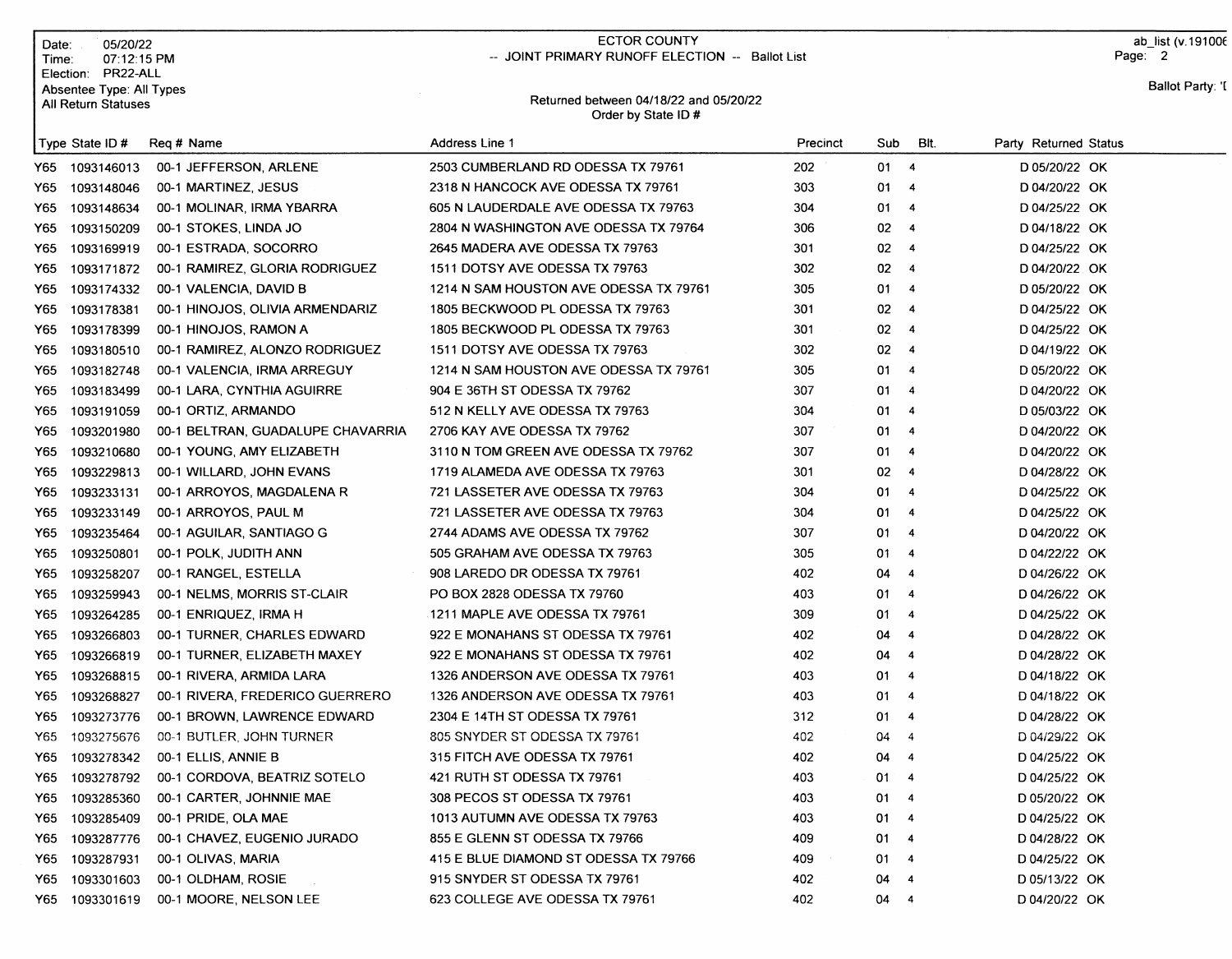| Date:               | 05/20/22                 |
|---------------------|--------------------------|
| Time:               | 07:12:15 PM              |
| Election:           | PR22-ALL                 |
|                     | Absentee Type: All Types |
| All Return Statuses |                          |

## ECTOR COUNTY -- JOINT PRIMARY RUNOFF ELECTION -- Ballot List

ab\_list (v.19100€ Page: 2

## Returned between 04118122 and O5l2Ol22 Order by State lD #

Ballot Party: '[

|      | Type State ID # | Reg # Name                        | Address Line 1                         | Precinct | Sub          | BIt.                     | Party Returned Status |
|------|-----------------|-----------------------------------|----------------------------------------|----------|--------------|--------------------------|-----------------------|
|      | Y65 1093146013  | 00-1 JEFFERSON, ARLENE            | 2503 CUMBERLAND RD ODESSA TX 79761     | 202      | 01 4         |                          | D 05/20/22 OK         |
| Y65  | 1093148046      | 00-1 MARTINEZ, JESUS              | 2318 N HANCOCK AVE ODESSA TX 79761     | 303      | 01           | $\overline{\mathbf{4}}$  | D 04/20/22 OK         |
| Y65. | 1093148634      | 00-1 MOLINAR, IRMA YBARRA         | 605 N LAUDERDALE AVE ODESSA TX 79763   | 304      | 01           | $\overline{4}$           | D 04/25/22 OK         |
| Y65  | 1093150209      | 00-1 STOKES, LINDA JO             | 2804 N WASHINGTON AVE ODESSA TX 79764  | 306      | 02           | $\overline{\phantom{a}}$ | D 04/18/22 OK         |
| Y65  | 1093169919      | 00-1 ESTRADA, SOCORRO             | 2645 MADERA AVE ODESSA TX 79763        | 301      | 02           | $\overline{4}$           | D 04/25/22 OK         |
| Y65  | 1093171872      | 00-1 RAMIREZ, GLORIA RODRIGUEZ    | 1511 DOTSY AVE ODESSA TX 79763         | 302      | 02           | $\overline{\mathbf{4}}$  | D 04/20/22 OK         |
| Y65  | 1093174332      | 00-1 VALENCIA, DAVID B            | 1214 N SAM HOUSTON AVE ODESSA TX 79761 | 305      | 01.          | $\overline{4}$           | D 05/20/22 OK         |
| Y65  | 1093178381      | 00-1 HINOJOS, OLIVIA ARMENDARIZ   | 1805 BECKWOOD PL ODESSA TX 79763       | 301      | $02-4$       |                          | D 04/25/22 OK         |
| Y65  | 1093178399      | 00-1 HINOJOS, RAMON A             | 1805 BECKWOOD PL ODESSA TX 79763       | 301      | $02 \quad 4$ |                          | D 04/25/22 OK         |
| Y65  | 1093180510      | 00-1 RAMIREZ, ALONZO RODRIGUEZ    | 1511 DOTSY AVE ODESSA TX 79763         | 302      | $02 \t 4$    |                          | D 04/19/22 OK         |
| Y65. | 1093182748      | 00-1 VALENCIA, IRMA ARREGUY       | 1214 N SAM HOUSTON AVE ODESSA TX 79761 | 305      | 01           | - 4                      | D 05/20/22 OK         |
| Y65  | 1093183499      | 00-1 LARA, CYNTHIA AGUIRRE        | 904 E 36TH ST ODESSA TX 79762          | 307      | 01           | $\overline{\phantom{a}}$ | D 04/20/22 OK         |
| Y65  | 1093191059      | 00-1 ORTIZ, ARMANDO               | 512 N KELLY AVE ODESSA TX 79763        | 304      | 01           | $\overline{\phantom{a}}$ | D 05/03/22 OK         |
| Y65  | 1093201980      | 00-1 BELTRAN, GUADALUPE CHAVARRIA | 2706 KAY AVE ODESSA TX 79762           | 307      | 01           | $\overline{\phantom{a}}$ | D 04/20/22 OK         |
| Y65  | 1093210680      | 00-1 YOUNG, AMY ELIZABETH         | 3110 N TOM GREEN AVE ODESSA TX 79762   | 307      | 01           | $\overline{4}$           | D 04/20/22 OK         |
| Y65  | 1093229813      | 00-1 WILLARD, JOHN EVANS          | 1719 ALAMEDA AVE ODESSA TX 79763       | 301      | 02           | $\overline{\mathbf{A}}$  | D 04/28/22 OK         |
| Y65  | 1093233131      | 00-1 ARROYOS, MAGDALENA R         | 721 LASSETER AVE ODESSA TX 79763       | 304      | 01           | $\overline{\phantom{a}}$ | D 04/25/22 OK         |
| Y65  | 1093233149      | 00-1 ARROYOS, PAUL M              | 721 LASSETER AVE ODESSA TX 79763       | 304      | $01 \t 4$    |                          | D 04/25/22 OK         |
| Y65  | 1093235464      | 00-1 AGUILAR, SANTIAGO G          | 2744 ADAMS AVE ODESSA TX 79762         | 307      | 01           | $\overline{\phantom{a}}$ | D 04/20/22 OK         |
| Y65. | 1093250801      | 00-1 POLK, JUDITH ANN             | 505 GRAHAM AVE ODESSA TX 79763         | 305      | 01.          | $\overline{\phantom{a}}$ | D 04/22/22 OK         |
| Y65  | 1093258207      | 00-1 RANGEL, ESTELLA              | 908 LAREDO DR ODESSA TX 79761          | 402      | 04           | $\overline{\phantom{a}}$ | D 04/26/22 OK         |
| Y65. | 1093259943      | 00-1 NELMS, MORRIS ST-CLAIR       | PO BOX 2828 ODESSA TX 79760            | 403      | 01           | $\overline{\phantom{a}}$ | D 04/26/22 OK         |
| Y65  | 1093264285      | 00-1 ENRIQUEZ, IRMA H             | 1211 MAPLE AVE ODESSA TX 79761         | 309      | 01           | $\overline{\mathbf{4}}$  | D 04/25/22 OK         |
| Y65  | 1093266803      | 00-1 TURNER, CHARLES EDWARD       | 922 E MONAHANS ST ODESSA TX 79761      | 402      | 04           | $\overline{4}$           | D 04/28/22 OK         |
| Y65. | 1093266819      | 00-1 TURNER, ELIZABETH MAXEY      | 922 E MONAHANS ST ODESSA TX 79761      | 402      | 04           | $\overline{4}$           | D 04/28/22 OK         |
| Y65  | 1093268815      | 00-1 RIVERA, ARMIDA LARA          | 1326 ANDERSON AVE ODESSA TX 79761      | 403      | 01           | $\overline{4}$           | D 04/18/22 OK         |
| Y65  | 1093268827      | 00-1 RIVERA, FREDERICO GUERRERO   | 1326 ANDERSON AVE ODESSA TX 79761      | 403      | 01           | $\overline{4}$           | D 04/18/22 OK         |
| Y65  | 1093273776      | 00-1 BROWN, LAWRENCE EDWARD       | 2304 E 14TH ST ODESSA TX 79761         | 312      | 01           | $\overline{a}$           | D 04/28/22 OK         |
| Y65. | 1093275676      | 00-1 BUTLER, JOHN TURNER          | 805 SNYDER ST ODESSA TX 79761          | 402      | 04           | $\overline{4}$           | D 04/29/22 OK         |
| Y65  | 1093278342      | 00-1 ELLIS, ANNIE B               | 315 FITCH AVE ODESSA TX 79761          | 402      | 04           | $\overline{a}$           | D 04/25/22 OK         |
| Y65. | 1093278792      | 00-1 CORDOVA, BEATRIZ SOTELO      | 421 RUTH ST ODESSA TX 79761            | 403      | 01           | $\overline{4}$           | D 04/25/22 OK         |
| Y65  | 1093285360      | 00-1 CARTER, JOHNNIE MAE          | 308 PECOS ST ODESSA TX 79761           | 403      | 01           | $\overline{4}$           | D 05/20/22 OK         |
| Y65. | 1093285409      | 00-1 PRIDE, OLA MAE               | 1013 AUTUMN AVE ODESSA TX 79763        | 403      | 01           | - 4                      | D 04/25/22 OK         |
| Y65. | 1093287776      | 00-1 CHAVEZ, EUGENIO JURADO       | 855 E GLENN ST ODESSA TX 79766         | 409      | 01           | $\overline{\mathbf{4}}$  | D 04/28/22 OK         |
| Y65. | 1093287931      | 00-1 OLIVAS, MARIA                | 415 E BLUE DIAMOND ST ODESSA TX 79766  | 409      | 01           | $\overline{4}$           | D 04/25/22 OK         |
| Y65  | 1093301603      | 00-1 OLDHAM, ROSIE                | 915 SNYDER ST ODESSA TX 79761          | 402      | 04           | 4                        | D 05/13/22 OK         |
|      | Y65 1093301619  | 00-1 MOORE, NELSON LEE            | 623 COLLEGE AVE ODESSA TX 79761        | 402      | 04           | $\overline{4}$           | D 04/20/22 OK         |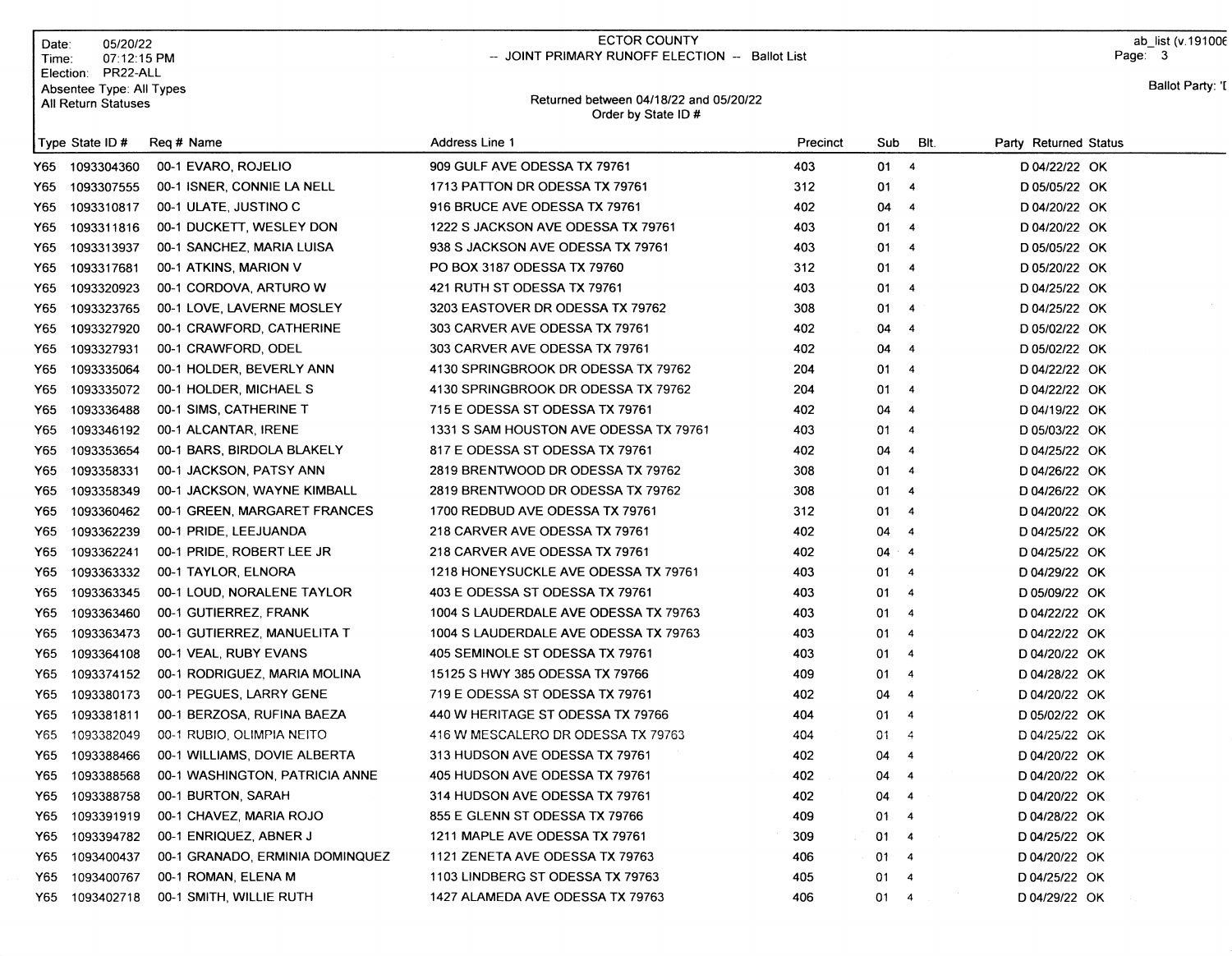Date: 05/20/22<br>Time: 07:12:15 07:12:15 PM Election: PR22-ALL Absentee Type: All Types All Return Statuses

## ECTOR COUNTY -- JOINT PRIMARY RUNOFF ELECTION -- Ballot List

ab\_list (v.19100€ Page: $\overline{\phantom{a}}$  3

## Returned between 04118122 and O5l2Ol22 Order by State lD #

Ballot Party: '[

| Type State ID $#$ |            | Req # Name                      | Address Line 1                         | Precinct | Sub  | BIt.                     | Party Returned Status |
|-------------------|------------|---------------------------------|----------------------------------------|----------|------|--------------------------|-----------------------|
| Y65 1093304360    |            | 00-1 EVARO, ROJELIO             | 909 GULF AVE ODESSA TX 79761           | 403      | 01 4 |                          | D 04/22/22 OK         |
| Y65               | 1093307555 | 00-1 ISNER, CONNIE LA NELL      | 1713 PATTON DR ODESSA TX 79761         | 312      | 01   | $\overline{\phantom{a}}$ | D 05/05/22 OK         |
| Y65               | 1093310817 | 00-1 ULATE, JUSTINO C           | 916 BRUCE AVE ODESSA TX 79761          | 402      | 04   | $\overline{\mathbf{4}}$  | D 04/20/22 OK         |
| Y65               | 1093311816 | 00-1 DUCKETT, WESLEY DON        | 1222 S JACKSON AVE ODESSA TX 79761     | 403      | 01   | $\overline{\mathbf{4}}$  | D 04/20/22 OK         |
| Y65               | 1093313937 | 00-1 SANCHEZ, MARIA LUISA       | 938 S JACKSON AVE ODESSA TX 79761      | 403      | 01   | $\overline{4}$           | D 05/05/22 OK         |
| Y65               | 1093317681 | 00-1 ATKINS, MARION V           | PO BOX 3187 ODESSA TX 79760            | 312      | 01   | $\overline{\phantom{a}}$ | D 05/20/22 OK         |
| Y65               | 1093320923 | 00-1 CORDOVA, ARTURO W          | 421 RUTH ST ODESSA TX 79761            | 403      | 01   | $\overline{\phantom{a}}$ | D 04/25/22 OK         |
| Y65               | 1093323765 | 00-1 LOVE, LAVERNE MOSLEY       | 3203 EASTOVER DR ODESSA TX 79762       | 308      | 01   | $\overline{\mathbf{4}}$  | D 04/25/22 OK         |
| Y65               | 1093327920 | 00-1 CRAWFORD, CATHERINE        | 303 CARVER AVE ODESSA TX 79761         | 402      | 04   | $\overline{4}$           | D 05/02/22 OK         |
| Y65               | 1093327931 | 00-1 CRAWFORD, ODEL             | 303 CARVER AVE ODESSA TX 79761         | 402      | 04   | $\overline{4}$           | D 05/02/22 OK         |
| Y65               | 1093335064 | 00-1 HOLDER, BEVERLY ANN        | 4130 SPRINGBROOK DR ODESSA TX 79762    | 204      | 01   | $\overline{4}$           | D 04/22/22 OK         |
| Y65               | 1093335072 | 00-1 HOLDER, MICHAEL S          | 4130 SPRINGBROOK DR ODESSA TX 79762    | 204      | 01   | $\overline{4}$           | D 04/22/22 OK         |
| Y65               | 1093336488 | 00-1 SIMS, CATHERINE T          | 715 E ODESSA ST ODESSA TX 79761        | 402      | 04   | $\overline{4}$           | D 04/19/22 OK         |
| Y65               | 1093346192 | 00-1 ALCANTAR, IRENE            | 1331 S SAM HOUSTON AVE ODESSA TX 79761 | 403      | 01   | $\overline{4}$           | D 05/03/22 OK         |
| Y65               | 1093353654 | 00-1 BARS, BIRDOLA BLAKELY      | 817 E ODESSA ST ODESSA TX 79761        | 402      | 04   | $\overline{4}$           | D 04/25/22 OK         |
| Y65               | 1093358331 | 00-1 JACKSON, PATSY ANN         | 2819 BRENTWOOD DR ODESSA TX 79762      | 308      | 01   | $\overline{\mathbf{4}}$  | D 04/26/22 OK         |
| Y65               | 1093358349 | 00-1 JACKSON, WAYNE KIMBALL     | 2819 BRENTWOOD DR ODESSA TX 79762      | 308      | 01   | $\overline{4}$           | D 04/26/22 OK         |
| Y65               | 1093360462 | 00-1 GREEN, MARGARET FRANCES    | 1700 REDBUD AVE ODESSA TX 79761        | 312      | 01   | $\overline{\mathbf{4}}$  | D 04/20/22 OK         |
| Y65               | 1093362239 | 00-1 PRIDE, LEEJUANDA           | 218 CARVER AVE ODESSA TX 79761         | 402      | 04   | $\overline{4}$           | D 04/25/22 OK         |
| Y65               | 1093362241 | 00-1 PRIDE, ROBERT LEE JR       | 218 CARVER AVE ODESSA TX 79761         | 402      | 04   | $\cdot$ 4                | D 04/25/22 OK         |
| Y65               | 1093363332 | 00-1 TAYLOR, ELNORA             | 1218 HONEYSUCKLE AVE ODESSA TX 79761   | 403      | 01   | $\overline{4}$           | D 04/29/22 OK         |
| Y65               | 1093363345 | 00-1 LOUD, NORALENE TAYLOR      | 403 E ODESSA ST ODESSA TX 79761        | 403      | 01   | $\overline{4}$           | D 05/09/22 OK         |
| Y65               | 1093363460 | 00-1 GUTIERREZ, FRANK           | 1004 S LAUDERDALE AVE ODESSA TX 79763  | 403      | 01   | $\overline{4}$           | D 04/22/22 OK         |
| Y65               | 1093363473 | 00-1 GUTIERREZ, MANUELITA T     | 1004 S LAUDERDALE AVE ODESSA TX 79763  | 403      | 01   | $\overline{4}$           | D 04/22/22 OK         |
| Y65               | 1093364108 | 00-1 VEAL, RUBY EVANS           | 405 SEMINOLE ST ODESSA TX 79761        | 403      | 01   | $\overline{4}$           | D 04/20/22 OK         |
| Y65               | 1093374152 | 00-1 RODRIGUEZ, MARIA MOLINA    | 15125 S HWY 385 ODESSA TX 79766        | 409      | 01   | $\overline{4}$           | D 04/28/22 OK         |
| Y65               | 1093380173 | 00-1 PEGUES, LARRY GENE         | 719 E ODESSA ST ODESSA TX 79761        | 402      | 04   | $\overline{4}$           | D 04/20/22 OK         |
| Y65               | 1093381811 | 00-1 BERZOSA, RUFINA BAEZA      | 440 W HERITAGE ST ODESSA TX 79766      | 404      | 01   | $\overline{4}$           | D 05/02/22 OK         |
| Y65               | 1093382049 | 00-1 RUBIO, OLIMPIA NEITO       | 416 W MESCALERO DR ODESSA TX 79763     | 404      | 01   | $\overline{4}$           | D 04/25/22 OK         |
| Y65               | 1093388466 | 00-1 WILLIAMS, DOVIE ALBERTA    | 313 HUDSON AVE ODESSA TX 79761         | 402      | 04   | $\overline{4}$           | D 04/20/22 OK         |
| Y65               | 1093388568 | 00-1 WASHINGTON, PATRICIA ANNE  | 405 HUDSON AVE ODESSA TX 79761         | 402      | 04   | $\overline{4}$           | D 04/20/22 OK         |
| Y65               | 1093388758 | 00-1 BURTON, SARAH              | 314 HUDSON AVE ODESSA TX 79761         | 402      | 04   | $\overline{4}$           | D 04/20/22 OK         |
| Y65               | 1093391919 | 00-1 CHAVEZ, MARIA ROJO         | 855 E GLENN ST ODESSA TX 79766         | 409      | 01   | $\overline{\mathbf{4}}$  | D 04/28/22 OK         |
| Y65               | 1093394782 | 00-1 ENRIQUEZ, ABNER J          | 1211 MAPLE AVE ODESSA TX 79761         | 309      | 01   | $\overline{4}$           | D 04/25/22 OK         |
| Y65               | 1093400437 | 00-1 GRANADO, ERMINIA DOMINQUEZ | 1121 ZENETA AVE ODESSA TX 79763        | 406      | 01   | $\overline{\mathbf{4}}$  | D 04/20/22 OK         |
| Y65               | 1093400767 | 00-1 ROMAN, ELENA M             | 1103 LINDBERG ST ODESSA TX 79763       | 405      | 01   | $\overline{4}$           | D 04/25/22 OK         |
| Y65 1093402718    |            | 00-1 SMITH, WILLIE RUTH         | 1427 ALAMEDA AVE ODESSA TX 79763       | 406      | 01   | $\overline{4}$           | D 04/29/22 OK         |